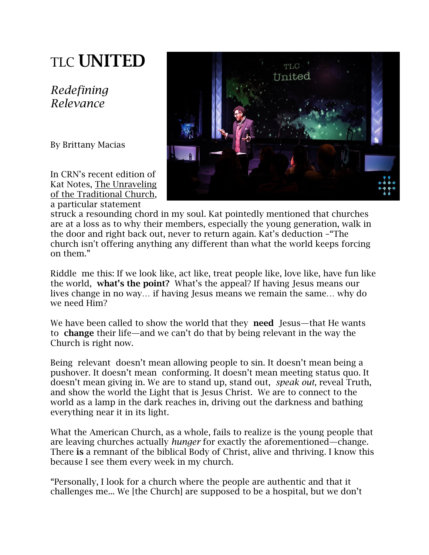## TLC **UNITED**

*Redefining Relevance*

By Brittany Macias

In CRN's recent edition of Kat Notes, The [Unraveling](http://media.wix.com/ugd/5a9411_cbfaf879a06c49e3b231927a560febb7.pdf) of the [Traditional](http://media.wix.com/ugd/5a9411_cbfaf879a06c49e3b231927a560febb7.pdf) Church, a particular statement



struck a resounding chord in my soul. Kat pointedly mentioned that churches are at a loss as to why their members, especially the young generation, walk in the door and right back out, never to return again. Kat's deduction –"The church isn't offering anything any different than what the world keeps forcing on them."

Riddle me this: If we look like, act like, treat people like, love like, have fun like the world, **what's the point?** What's the appeal? If having Jesus means our lives change in no way... if having Jesus means we remain the same... why do we need Him?

We have been called to show the world that they **need** Jesus—that He wants to **change** their life—and we can't do that by being relevant in the way the Church is right now.

Being relevant doesn't mean allowing people to sin. It doesn't mean being a pushover. It doesn't mean conforming. It doesn't mean meeting status quo. It doesn't mean giving in. We are to stand up, stand out, *speak out*, reveal Truth, and show the world the Light that is Jesus Christ*.* We are to connect to the world as a lamp in the dark reaches in, driving out the darkness and bathing everything near it in its light.

What the American Church, as a whole, fails to realize is the young people that are leaving churches actually *hunger* for exactly the aforementioned—change. There **is** a remnant of the biblical Body of Christ, alive and thriving. I know this because I see them every week in my church.

"Personally, I look for a church where the people are authentic and that it challenges me... We [the Church] are supposed to be a hospital, but we don't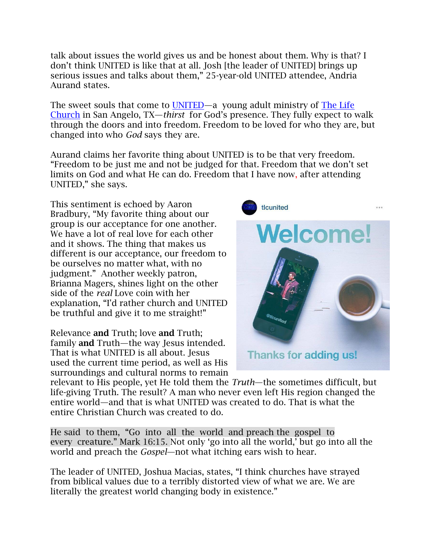talk about issues the world gives us and be honest about them. Why is that? I don't think UNITED is like that at all. Josh [the leader of UNITED] brings up serious issues and talks about them," 25-year-old UNITED attendee, Andria Aurand states.

The sweet souls that come to [UNITED](http://www.facebook.com/tlcunited)—a young adult ministry of [The Life](http://www.thelifechurchtoday.com/)  [Church](http://www.thelifechurchtoday.com/) in San Angelo, TX—*thirst* for God's presence. They fully expect to walk through the doors and into freedom. Freedom to be loved for who they are, but changed into who *God* says they are.

Aurand claims her favorite thing about UNITED is to be that very freedom. "Freedom to be just me and not be judged for that. Freedom that we don't set limits on God and what He can do. Freedom that I have now, after attending UNITED," she says.

This sentiment is echoed by Aaron Bradbury, "My favorite thing about our group is our acceptance for one another. We have a lot of real love for each other and it shows. The thing that makes us different is our acceptance, our freedom to be ourselves no matter what, with no judgment." Another weekly patron, Brianna Magers, shines light on the other side of the *real* Love coin with her explanation, "I'd rather church and UNITED be truthful and give it to me straight!"

Relevance **and** Truth; love **and** Truth; family **and** Truth—the way Jesus intended. That is what UNITED is all about. Jesus used the current time period, as well as His surroundings and cultural norms to remain



relevant to His people, yet He told them the *Truth*—the sometimes difficult, but life-giving Truth. The result? A man who never even left His region changed the entire world—and that is what UNITED was created to do. That is what the entire Christian Church was created to do.

[He said](http://biblehub.com/greek/2036.htm) [to them,](http://biblehub.com/greek/846.htm) ["Go](http://biblehub.com/greek/4198.htm) [into](http://biblehub.com/greek/1519.htm) [all](http://biblehub.com/greek/537.htm) [the](http://biblehub.com/greek/3588.htm) [world](http://biblehub.com/greek/2889.htm) [and preach](http://biblehub.com/greek/2784.htm) [the](http://biblehub.com/greek/3588.htm) [gospel](http://biblehub.com/greek/2098.htm) [to](http://biblehub.com/greek/3956.htm)  [every](http://biblehub.com/greek/3956.htm) [creature.](http://biblehub.com/greek/2937.htm)" Mark 16:15. Not only 'go into all the world,' but go into all the world and preach the *Gospel*—not what itching ears wish to hear.

The leader of UNITED, Joshua Macias, states, "I think churches have strayed from biblical values due to a terribly distorted view of what we are. We are literally the greatest world changing body in existence."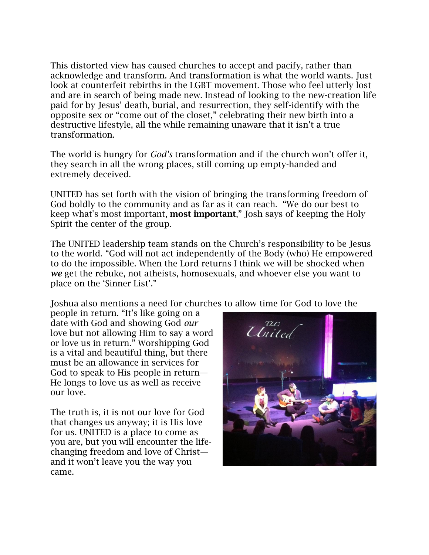This distorted view has caused churches to accept and pacify, rather than acknowledge and transform. And transformation is what the world wants. Just look at counterfeit rebirths in the LGBT movement. Those who feel utterly lost and are in search of being made new. Instead of looking to the new-creation life paid for by Jesus' death, burial, and resurrection, they self-identify with the opposite sex or "come out of the closet," celebrating their new birth into a destructive lifestyle, all the while remaining unaware that it isn't a true transformation.

The world is hungry for *God's* transformation and if the church won't offer it, they search in all the wrong places, still coming up empty-handed and extremely deceived.

UNITED has set forth with the vision of bringing the transforming freedom of God boldly to the community and as far as it can reach. "We do our best to keep what's most important, **most important**," Josh says of keeping the Holy Spirit the center of the group.

The UNITED leadership team stands on the Church's responsibility to be Jesus to the world. "God will not act independently of the Body (who) He empowered to do the impossible. When the Lord returns I think we will be shocked when *we* get the rebuke, not atheists, homosexuals, and whoever else you want to place on the 'Sinner List'."

Joshua also mentions a need for churches to allow time for God to love the

people in return. "It's like going on a date with God and showing God *our* love but not allowing Him to say a word or love us in return." Worshipping God is a vital and beautiful thing, but there must be an allowance in services for God to speak to His people in return— He longs to love us as well as receive our love.

The truth is, it is not our love for God that changes us anyway; it is His love for us. UNITED is a place to come as you are, but you will encounter the lifechanging freedom and love of Christ and it won't leave you the way you came.